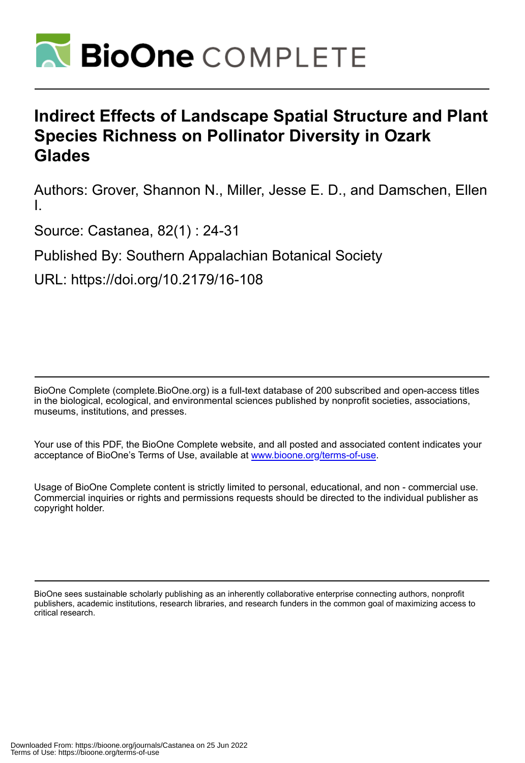

## **Indirect Effects of Landscape Spatial Structure and Plant Species Richness on Pollinator Diversity in Ozark Glades**

Authors: Grover, Shannon N., Miller, Jesse E. D., and Damschen, Ellen I.

Source: Castanea, 82(1) : 24-31

Published By: Southern Appalachian Botanical Society

URL: https://doi.org/10.2179/16-108

BioOne Complete (complete.BioOne.org) is a full-text database of 200 subscribed and open-access titles in the biological, ecological, and environmental sciences published by nonprofit societies, associations, museums, institutions, and presses.

Your use of this PDF, the BioOne Complete website, and all posted and associated content indicates your acceptance of BioOne's Terms of Use, available at www.bioone.org/terms-of-use.

Usage of BioOne Complete content is strictly limited to personal, educational, and non - commercial use. Commercial inquiries or rights and permissions requests should be directed to the individual publisher as copyright holder.

BioOne sees sustainable scholarly publishing as an inherently collaborative enterprise connecting authors, nonprofit publishers, academic institutions, research libraries, and research funders in the common goal of maximizing access to critical research.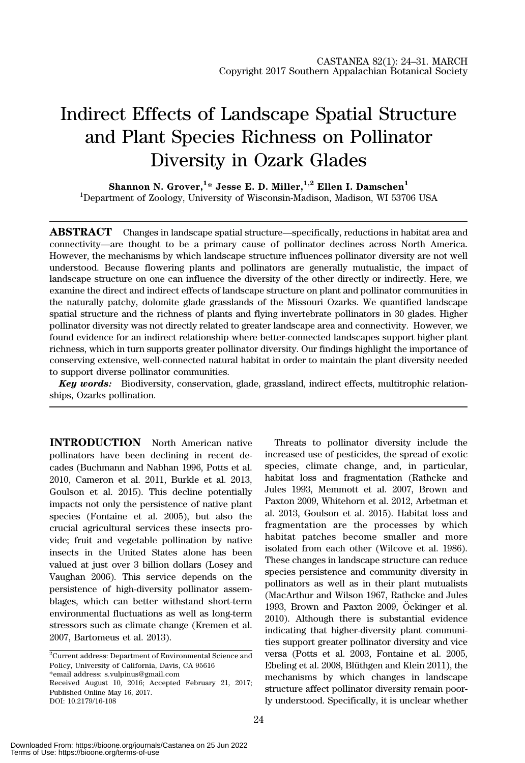# Indirect Effects of Landscape Spatial Structure and Plant Species Richness on Pollinator Diversity in Ozark Glades

Shannon N. Grover, $^{1\ast}$  Jesse E. D. Miller, $^{1,2}$  Ellen I. Damschen $^1$ <sup>1</sup>Department of Zoology, University of Wisconsin-Madison, Madison, WI 53706 USA

ABSTRACT Changes in landscape spatial structure—specifically, reductions in habitat area and connectivity—are thought to be a primary cause of pollinator declines across North America. However, the mechanisms by which landscape structure influences pollinator diversity are not well understood. Because flowering plants and pollinators are generally mutualistic, the impact of landscape structure on one can influence the diversity of the other directly or indirectly. Here, we examine the direct and indirect effects of landscape structure on plant and pollinator communities in the naturally patchy, dolomite glade grasslands of the Missouri Ozarks. We quantified landscape spatial structure and the richness of plants and flying invertebrate pollinators in 30 glades. Higher pollinator diversity was not directly related to greater landscape area and connectivity. However, we found evidence for an indirect relationship where better-connected landscapes support higher plant richness, which in turn supports greater pollinator diversity. Our findings highlight the importance of conserving extensive, well-connected natural habitat in order to maintain the plant diversity needed to support diverse pollinator communities.

Key words: Biodiversity, conservation, glade, grassland, indirect effects, multitrophic relationships, Ozarks pollination.

INTRODUCTION North American native pollinators have been declining in recent decades (Buchmann and Nabhan 1996, Potts et al. 2010, Cameron et al. 2011, Burkle et al. 2013, Goulson et al. 2015). This decline potentially impacts not only the persistence of native plant species (Fontaine et al. 2005), but also the crucial agricultural services these insects provide; fruit and vegetable pollination by native insects in the United States alone has been valued at just over 3 billion dollars (Losey and Vaughan 2006). This service depends on the persistence of high-diversity pollinator assemblages, which can better withstand short-term environmental fluctuations as well as long-term stressors such as climate change (Kremen et al. 2007, Bartomeus et al. 2013).

 $\rm ^2$ Current address: Department of Environmental Science and Policy, University of California, Davis, CA 95616 \*email address: s.vulpinus@gmail.com

Received August 10, 2016; Accepted February 21, 2017; Published Online May 16, 2017. DOI: 10.2179/16-108

Threats to pollinator diversity include the increased use of pesticides, the spread of exotic species, climate change, and, in particular, habitat loss and fragmentation (Rathcke and Jules 1993, Memmott et al. 2007, Brown and Paxton 2009, Whitehorn et al. 2012, Arbetman et al. 2013, Goulson et al. 2015). Habitat loss and fragmentation are the processes by which habitat patches become smaller and more isolated from each other (Wilcove et al. 1986). These changes in landscape structure can reduce species persistence and community diversity in pollinators as well as in their plant mutualists (MacArthur and Wilson 1967, Rathcke and Jules 1993, Brown and Paxton 2009, Ockinger et al. 2010). Although there is substantial evidence indicating that higher-diversity plant communities support greater pollinator diversity and vice versa (Potts et al. 2003, Fontaine et al. 2005, Ebeling et al. 2008, Blüthgen and Klein 2011), the mechanisms by which changes in landscape structure affect pollinator diversity remain poorly understood. Specifically, it is unclear whether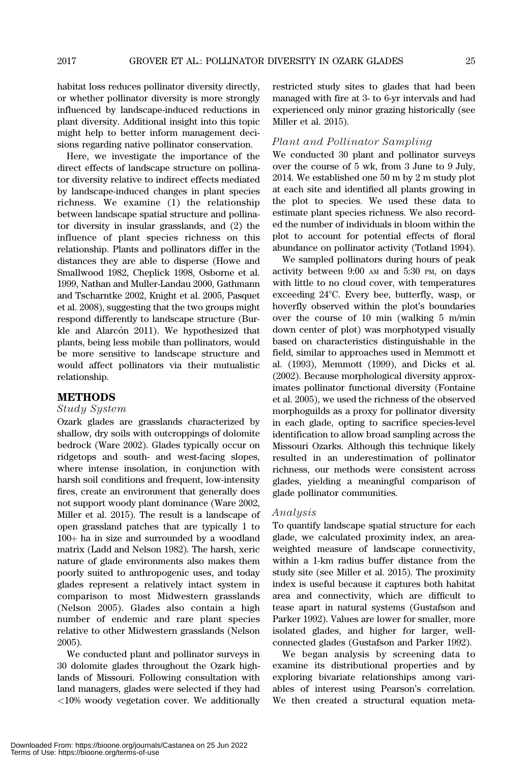habitat loss reduces pollinator diversity directly, or whether pollinator diversity is more strongly influenced by landscape-induced reductions in plant diversity. Additional insight into this topic might help to better inform management decisions regarding native pollinator conservation.

Here, we investigate the importance of the direct effects of landscape structure on pollinator diversity relative to indirect effects mediated by landscape-induced changes in plant species richness. We examine (1) the relationship between landscape spatial structure and pollinator diversity in insular grasslands, and (2) the influence of plant species richness on this relationship. Plants and pollinators differ in the distances they are able to disperse (Howe and Smallwood 1982, Cheplick 1998, Osborne et al. 1999, Nathan and Muller-Landau 2000, Gathmann and Tscharntke 2002, Knight et al. 2005, Pasquet et al. 2008), suggesting that the two groups might respond differently to landscape structure (Burkle and Alarcón  $2011$ ). We hypothesized that plants, being less mobile than pollinators, would be more sensitive to landscape structure and would affect pollinators via their mutualistic relationship.

#### METHODS

#### Study System

Ozark glades are grasslands characterized by shallow, dry soils with outcroppings of dolomite bedrock (Ware 2002). Glades typically occur on ridgetops and south- and west-facing slopes, where intense insolation, in conjunction with harsh soil conditions and frequent, low-intensity fires, create an environment that generally does not support woody plant dominance (Ware 2002, Miller et al. 2015). The result is a landscape of open grassland patches that are typically 1 to  $100+$  ha in size and surrounded by a woodland matrix (Ladd and Nelson 1982). The harsh, xeric nature of glade environments also makes them poorly suited to anthropogenic uses, and today glades represent a relatively intact system in comparison to most Midwestern grasslands (Nelson 2005). Glades also contain a high number of endemic and rare plant species relative to other Midwestern grasslands (Nelson 2005).

We conducted plant and pollinator surveys in 30 dolomite glades throughout the Ozark highlands of Missouri. Following consultation with land managers, glades were selected if they had <10% woody vegetation cover. We additionally restricted study sites to glades that had been managed with fire at 3- to 6-yr intervals and had experienced only minor grazing historically (see Miller et al. 2015).

#### Plant and Pollinator Sampling

We conducted 30 plant and pollinator surveys over the course of 5 wk, from 3 June to 9 July, 2014. We established one 50 m by 2 m study plot at each site and identified all plants growing in the plot to species. We used these data to estimate plant species richness. We also recorded the number of individuals in bloom within the plot to account for potential effects of floral abundance on pollinator activity (Totland 1994).

We sampled pollinators during hours of peak activity between 9:00 AM and 5:30 PM, on days with little to no cloud cover, with temperatures exceeding  $24^{\circ}$ C. Every bee, butterfly, wasp, or hoverfly observed within the plot's boundaries over the course of 10 min (walking 5 m/min down center of plot) was morphotyped visually based on characteristics distinguishable in the field, similar to approaches used in Memmott et al. (1993), Memmott (1999), and Dicks et al. (2002). Because morphological diversity approximates pollinator functional diversity (Fontaine et al. 2005), we used the richness of the observed morphoguilds as a proxy for pollinator diversity in each glade, opting to sacrifice species-level identification to allow broad sampling across the Missouri Ozarks. Although this technique likely resulted in an underestimation of pollinator richness, our methods were consistent across glades, yielding a meaningful comparison of glade pollinator communities.

#### Analysis

To quantify landscape spatial structure for each glade, we calculated proximity index, an areaweighted measure of landscape connectivity, within a 1-km radius buffer distance from the study site (see Miller et al. 2015). The proximity index is useful because it captures both habitat area and connectivity, which are difficult to tease apart in natural systems (Gustafson and Parker 1992). Values are lower for smaller, more isolated glades, and higher for larger, wellconnected glades (Gustafson and Parker 1992).

We began analysis by screening data to examine its distributional properties and by exploring bivariate relationships among variables of interest using Pearson's correlation. We then created a structural equation meta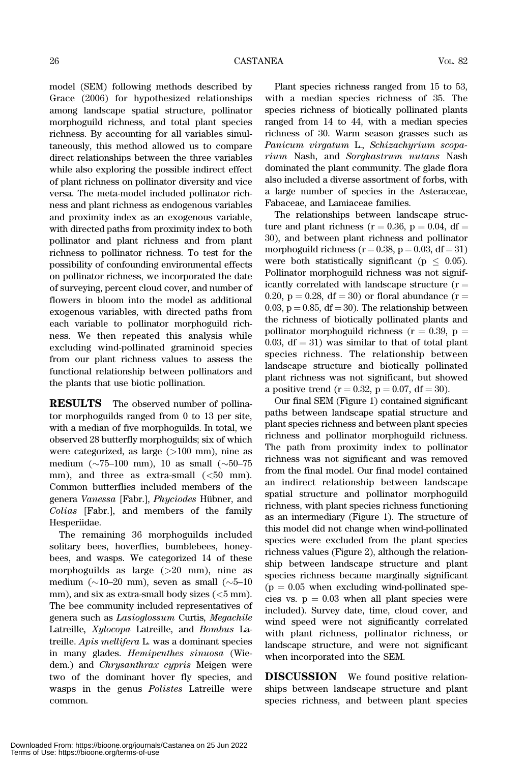model (SEM) following methods described by Grace (2006) for hypothesized relationships among landscape spatial structure, pollinator morphoguild richness, and total plant species richness. By accounting for all variables simultaneously, this method allowed us to compare direct relationships between the three variables while also exploring the possible indirect effect of plant richness on pollinator diversity and vice versa. The meta-model included pollinator richness and plant richness as endogenous variables and proximity index as an exogenous variable, with directed paths from proximity index to both pollinator and plant richness and from plant richness to pollinator richness. To test for the possibility of confounding environmental effects on pollinator richness, we incorporated the date of surveying, percent cloud cover, and number of flowers in bloom into the model as additional exogenous variables, with directed paths from each variable to pollinator morphoguild richness. We then repeated this analysis while excluding wind-pollinated graminoid species from our plant richness values to assess the functional relationship between pollinators and the plants that use biotic pollination.

RESULTS The observed number of pollinator morphoguilds ranged from 0 to 13 per site, with a median of five morphoguilds. In total, we observed 28 butterfly morphoguilds; six of which were categorized, as large  $(>100$  mm), nine as medium ( $\sim$ 75–100 mm), 10 as small ( $\sim$ 50–75 mm), and three as extra-small  $(*50* mm)$ . Common butterflies included members of the genera Vanessa [Fabr.], *Phyciodes* Hübner, and Colias [Fabr.], and members of the family Hesperiidae.

The remaining 36 morphoguilds included solitary bees, hoverflies, bumblebees, honeybees, and wasps. We categorized 14 of these morphoguilds as large (>20 mm), nine as medium  $(\sim10-20 \text{ mm})$ , seven as small  $(\sim5-10$ mm), and six as extra-small body sizes  $(<5$  mm). The bee community included representatives of genera such as Lasioglossum Curtis, Megachile Latreille, Xylocopa Latreille, and Bombus Latreille. Apis mellifera L. was a dominant species in many glades. Hemipenthes sinuosa (Wiedem.) and *Chrysanthrax cypris* Meigen were two of the dominant hover fly species, and wasps in the genus *Polistes* Latreille were common.

Plant species richness ranged from 15 to 53, with a median species richness of 35. The species richness of biotically pollinated plants ranged from 14 to 44, with a median species richness of 30. Warm season grasses such as Panicum virgatum L., Schizachyrium scoparium Nash, and Sorghastrum nutans Nash dominated the plant community. The glade flora also included a diverse assortment of forbs, with a large number of species in the Asteraceae, Fabaceae, and Lamiaceae families.

The relationships between landscape structure and plant richness ( $r = 0.36$ ,  $p = 0.04$ , df = 30), and between plant richness and pollinator morphoguild richness ( $r = 0.38$ ,  $p = 0.03$ , df = 31) were both statistically significant ( $p \leq 0.05$ ). Pollinator morphoguild richness was not significantly correlated with landscape structure  $(r =$ 0.20,  $p = 0.28$ , df = 30) or floral abundance (r = 0.03,  $p = 0.85$ , df = 30). The relationship between the richness of biotically pollinated plants and pollinator morphoguild richness ( $r = 0.39$ ,  $p =$ 0.03,  $df = 31$ ) was similar to that of total plant species richness. The relationship between landscape structure and biotically pollinated plant richness was not significant, but showed a positive trend ( $r = 0.32$ ,  $p = 0.07$ , df = 30).

Our final SEM (Figure 1) contained significant paths between landscape spatial structure and plant species richness and between plant species richness and pollinator morphoguild richness. The path from proximity index to pollinator richness was not significant and was removed from the final model. Our final model contained an indirect relationship between landscape spatial structure and pollinator morphoguild richness, with plant species richness functioning as an intermediary (Figure 1). The structure of this model did not change when wind-pollinated species were excluded from the plant species richness values (Figure 2), although the relationship between landscape structure and plant species richness became marginally significant  $(p = 0.05$  when excluding wind-pollinated species vs.  $p = 0.03$  when all plant species were included). Survey date, time, cloud cover, and wind speed were not significantly correlated with plant richness, pollinator richness, or landscape structure, and were not significant when incorporated into the SEM.

DISCUSSION We found positive relationships between landscape structure and plant species richness, and between plant species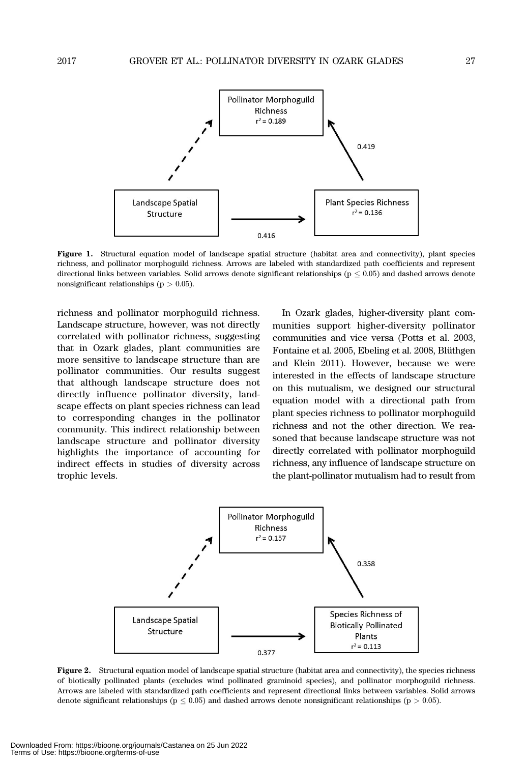

Figure 1. Structural equation model of landscape spatial structure (habitat area and connectivity), plant species richness, and pollinator morphoguild richness. Arrows are labeled with standardized path coefficients and represent directional links between variables. Solid arrows denote significant relationships ( $p \leq 0.05$ ) and dashed arrows denote nonsignificant relationships ( $p > 0.05$ ).

richness and pollinator morphoguild richness. Landscape structure, however, was not directly correlated with pollinator richness, suggesting that in Ozark glades, plant communities are more sensitive to landscape structure than are pollinator communities. Our results suggest that although landscape structure does not directly influence pollinator diversity, landscape effects on plant species richness can lead to corresponding changes in the pollinator community. This indirect relationship between landscape structure and pollinator diversity highlights the importance of accounting for indirect effects in studies of diversity across trophic levels.

In Ozark glades, higher-diversity plant communities support higher-diversity pollinator communities and vice versa (Potts et al. 2003, Fontaine et al. 2005, Ebeling et al. 2008, Blüthgen and Klein 2011). However, because we were interested in the effects of landscape structure on this mutualism, we designed our structural equation model with a directional path from plant species richness to pollinator morphoguild richness and not the other direction. We reasoned that because landscape structure was not directly correlated with pollinator morphoguild richness, any influence of landscape structure on the plant-pollinator mutualism had to result from



Figure 2. Structural equation model of landscape spatial structure (habitat area and connectivity), the species richness of biotically pollinated plants (excludes wind pollinated graminoid species), and pollinator morphoguild richness. Arrows are labeled with standardized path coefficients and represent directional links between variables. Solid arrows denote significant relationships ( $p \le 0.05$ ) and dashed arrows denote nonsignificant relationships ( $p > 0.05$ ).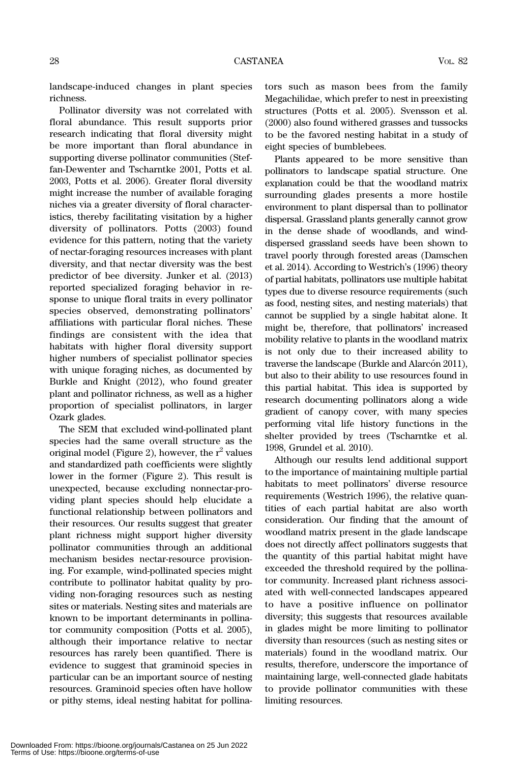landscape-induced changes in plant species richness.

Pollinator diversity was not correlated with floral abundance. This result supports prior research indicating that floral diversity might be more important than floral abundance in supporting diverse pollinator communities (Steffan-Dewenter and Tscharntke 2001, Potts et al. 2003, Potts et al. 2006). Greater floral diversity might increase the number of available foraging niches via a greater diversity of floral characteristics, thereby facilitating visitation by a higher diversity of pollinators. Potts (2003) found evidence for this pattern, noting that the variety of nectar-foraging resources increases with plant diversity, and that nectar diversity was the best predictor of bee diversity. Junker et al. (2013) reported specialized foraging behavior in response to unique floral traits in every pollinator species observed, demonstrating pollinators' affiliations with particular floral niches. These findings are consistent with the idea that habitats with higher floral diversity support higher numbers of specialist pollinator species with unique foraging niches, as documented by Burkle and Knight (2012), who found greater plant and pollinator richness, as well as a higher proportion of specialist pollinators, in larger Ozark glades.

The SEM that excluded wind-pollinated plant species had the same overall structure as the original model (Figure 2), however, the  $r^2$  values and standardized path coefficients were slightly lower in the former (Figure 2). This result is unexpected, because excluding nonnectar-providing plant species should help elucidate a functional relationship between pollinators and their resources. Our results suggest that greater plant richness might support higher diversity pollinator communities through an additional mechanism besides nectar-resource provisioning. For example, wind-pollinated species might contribute to pollinator habitat quality by providing non-foraging resources such as nesting sites or materials. Nesting sites and materials are known to be important determinants in pollinator community composition (Potts et al. 2005), although their importance relative to nectar resources has rarely been quantified. There is evidence to suggest that graminoid species in particular can be an important source of nesting resources. Graminoid species often have hollow or pithy stems, ideal nesting habitat for pollinators such as mason bees from the family Megachilidae, which prefer to nest in preexisting structures (Potts et al. 2005). Svensson et al. (2000) also found withered grasses and tussocks to be the favored nesting habitat in a study of eight species of bumblebees.

Plants appeared to be more sensitive than pollinators to landscape spatial structure. One explanation could be that the woodland matrix surrounding glades presents a more hostile environment to plant dispersal than to pollinator dispersal. Grassland plants generally cannot grow in the dense shade of woodlands, and winddispersed grassland seeds have been shown to travel poorly through forested areas (Damschen et al. 2014). According to Westrich's (1996) theory of partial habitats, pollinators use multiple habitat types due to diverse resource requirements (such as food, nesting sites, and nesting materials) that cannot be supplied by a single habitat alone. It might be, therefore, that pollinators' increased mobility relative to plants in the woodland matrix is not only due to their increased ability to traverse the landscape (Burkle and Alarcón 2011), but also to their ability to use resources found in this partial habitat. This idea is supported by research documenting pollinators along a wide gradient of canopy cover, with many species performing vital life history functions in the shelter provided by trees (Tscharntke et al. 1998, Grundel et al. 2010).

Although our results lend additional support to the importance of maintaining multiple partial habitats to meet pollinators' diverse resource requirements (Westrich 1996), the relative quantities of each partial habitat are also worth consideration. Our finding that the amount of woodland matrix present in the glade landscape does not directly affect pollinators suggests that the quantity of this partial habitat might have exceeded the threshold required by the pollinator community. Increased plant richness associated with well-connected landscapes appeared to have a positive influence on pollinator diversity; this suggests that resources available in glades might be more limiting to pollinator diversity than resources (such as nesting sites or materials) found in the woodland matrix. Our results, therefore, underscore the importance of maintaining large, well-connected glade habitats to provide pollinator communities with these limiting resources.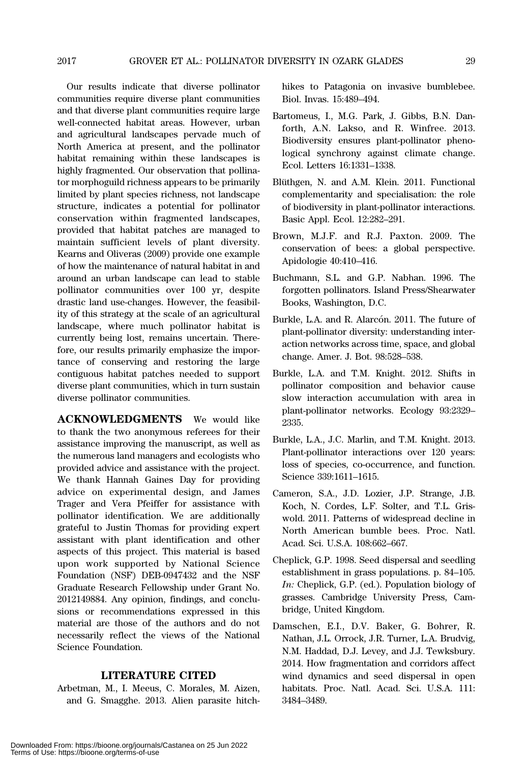Our results indicate that diverse pollinator communities require diverse plant communities and that diverse plant communities require large well-connected habitat areas. However, urban and agricultural landscapes pervade much of North America at present, and the pollinator habitat remaining within these landscapes is highly fragmented. Our observation that pollinator morphoguild richness appears to be primarily limited by plant species richness, not landscape structure, indicates a potential for pollinator conservation within fragmented landscapes, provided that habitat patches are managed to maintain sufficient levels of plant diversity. Kearns and Oliveras (2009) provide one example of how the maintenance of natural habitat in and around an urban landscape can lead to stable pollinator communities over 100 yr, despite drastic land use-changes. However, the feasibility of this strategy at the scale of an agricultural landscape, where much pollinator habitat is currently being lost, remains uncertain. Therefore, our results primarily emphasize the importance of conserving and restoring the large contiguous habitat patches needed to support diverse plant communities, which in turn sustain diverse pollinator communities.

ACKNOWLEDGMENTS We would like to thank the two anonymous referees for their assistance improving the manuscript, as well as the numerous land managers and ecologists who provided advice and assistance with the project. We thank Hannah Gaines Day for providing advice on experimental design, and James Trager and Vera Pfeiffer for assistance with pollinator identification. We are additionally grateful to Justin Thomas for providing expert assistant with plant identification and other aspects of this project. This material is based upon work supported by National Science Foundation (NSF) DEB-0947432 and the NSF Graduate Research Fellowship under Grant No. 2012149884. Any opinion, findings, and conclusions or recommendations expressed in this material are those of the authors and do not necessarily reflect the views of the National Science Foundation.

### LITERATURE CITED

Arbetman, M., I. Meeus, C. Morales, M. Aizen, and G. Smagghe. 2013. Alien parasite hitchhikes to Patagonia on invasive bumblebee. Biol. Invas. 15:489–494.

- Bartomeus, I., M.G. Park, J. Gibbs, B.N. Danforth, A.N. Lakso, and R. Winfree. 2013. Biodiversity ensures plant-pollinator phenological synchrony against climate change. Ecol. Letters 16:1331–1338.
- Blüthgen, N. and A.M. Klein. 2011. Functional complementarity and specialisation: the role of biodiversity in plant-pollinator interactions. Basic Appl. Ecol. 12:282–291.
- Brown, M.J.F. and R.J. Paxton. 2009. The conservation of bees: a global perspective. Apidologie 40:410–416.
- Buchmann, S.L. and G.P. Nabhan. 1996. The forgotten pollinators. Island Press/Shearwater Books, Washington, D.C.
- Burkle, L.A. and R. Alarcón. 2011. The future of plant-pollinator diversity: understanding interaction networks across time, space, and global change. Amer. J. Bot. 98:528–538.
- Burkle, L.A. and T.M. Knight. 2012. Shifts in pollinator composition and behavior cause slow interaction accumulation with area in plant-pollinator networks. Ecology 93:2329– 2335.
- Burkle, L.A., J.C. Marlin, and T.M. Knight. 2013. Plant-pollinator interactions over 120 years: loss of species, co-occurrence, and function. Science 339:1611–1615.
- Cameron, S.A., J.D. Lozier, J.P. Strange, J.B. Koch, N. Cordes, L.F. Solter, and T.L. Griswold. 2011. Patterns of widespread decline in North American bumble bees. Proc. Natl. Acad. Sci. U.S.A. 108:662–667.
- Cheplick, G.P. 1998. Seed dispersal and seedling establishment in grass populations. p. 84–105. In: Cheplick, G.P. (ed.). Population biology of grasses. Cambridge University Press, Cambridge, United Kingdom.
- Damschen, E.I., D.V. Baker, G. Bohrer, R. Nathan, J.L. Orrock, J.R. Turner, L.A. Brudvig, N.M. Haddad, D.J. Levey, and J.J. Tewksbury. 2014. How fragmentation and corridors affect wind dynamics and seed dispersal in open habitats. Proc. Natl. Acad. Sci. U.S.A. 111: 3484–3489.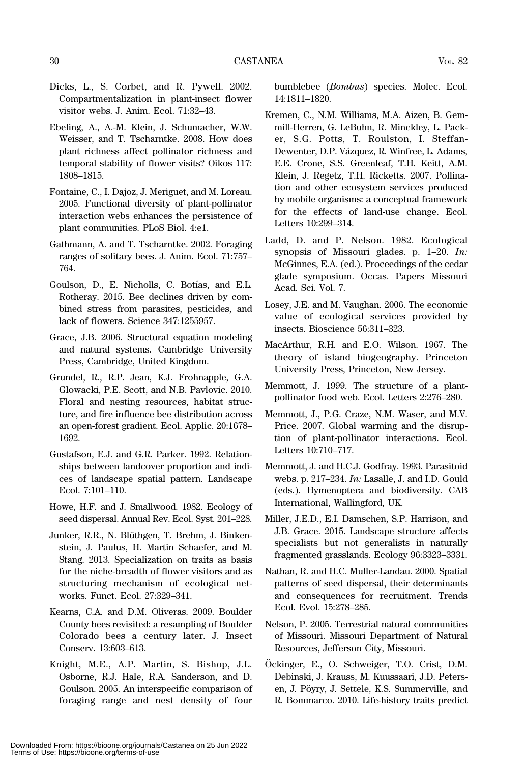- Dicks, L., S. Corbet, and R. Pywell. 2002. Compartmentalization in plant-insect flower visitor webs. J. Anim. Ecol. 71:32–43.
- Ebeling, A., A.-M. Klein, J. Schumacher, W.W. Weisser, and T. Tscharntke. 2008. How does plant richness affect pollinator richness and temporal stability of flower visits? Oikos 117: 1808–1815.
- Fontaine, C., I. Dajoz, J. Meriguet, and M. Loreau. 2005. Functional diversity of plant-pollinator interaction webs enhances the persistence of plant communities. PLoS Biol. 4:e1.
- Gathmann, A. and T. Tscharntke. 2002. Foraging ranges of solitary bees. J. Anim. Ecol. 71:757– 764.
- Goulson, D., E. Nicholls, C. Botías, and E.L. Rotheray. 2015. Bee declines driven by combined stress from parasites, pesticides, and lack of flowers. Science 347:1255957.
- Grace, J.B. 2006. Structural equation modeling and natural systems. Cambridge University Press, Cambridge, United Kingdom.
- Grundel, R., R.P. Jean, K.J. Frohnapple, G.A. Glowacki, P.E. Scott, and N.B. Pavlovic. 2010. Floral and nesting resources, habitat structure, and fire influence bee distribution across an open-forest gradient. Ecol. Applic. 20:1678– 1692.
- Gustafson, E.J. and G.R. Parker. 1992. Relationships between landcover proportion and indices of landscape spatial pattern. Landscape Ecol. 7:101–110.
- Howe, H.F. and J. Smallwood. 1982. Ecology of seed dispersal. Annual Rev. Ecol. Syst. 201–228.
- Junker, R.R., N. Blüthgen, T. Brehm, J. Binkenstein, J. Paulus, H. Martin Schaefer, and M. Stang. 2013. Specialization on traits as basis for the niche-breadth of flower visitors and as structuring mechanism of ecological networks. Funct. Ecol. 27:329–341.
- Kearns, C.A. and D.M. Oliveras. 2009. Boulder County bees revisited: a resampling of Boulder Colorado bees a century later. J. Insect Conserv. 13:603–613.
- Knight, M.E., A.P. Martin, S. Bishop, J.L. Osborne, R.J. Hale, R.A. Sanderson, and D. Goulson. 2005. An interspecific comparison of foraging range and nest density of four

bumblebee (Bombus) species. Molec. Ecol. 14:1811–1820.

- Kremen, C., N.M. Williams, M.A. Aizen, B. Gemmill-Herren, G. LeBuhn, R. Minckley, L. Packer, S.G. Potts, T. Roulston, I. Steffan-Dewenter, D.P. Vázquez, R. Winfree, L. Adams, E.E. Crone, S.S. Greenleaf, T.H. Keitt, A.M. Klein, J. Regetz, T.H. Ricketts. 2007. Pollination and other ecosystem services produced by mobile organisms: a conceptual framework for the effects of land-use change. Ecol. Letters 10:299–314.
- Ladd, D. and P. Nelson. 1982. Ecological synopsis of Missouri glades. p. 1–20. In: McGinnes, E.A. (ed.). Proceedings of the cedar glade symposium. Occas. Papers Missouri Acad. Sci. Vol. 7.
- Losey, J.E. and M. Vaughan. 2006. The economic value of ecological services provided by insects. Bioscience 56:311–323.
- MacArthur, R.H. and E.O. Wilson. 1967. The theory of island biogeography. Princeton University Press, Princeton, New Jersey.
- Memmott, J. 1999. The structure of a plantpollinator food web. Ecol. Letters 2:276–280.
- Memmott, J., P.G. Craze, N.M. Waser, and M.V. Price. 2007. Global warming and the disruption of plant-pollinator interactions. Ecol. Letters 10:710–717.
- Memmott, J. and H.C.J. Godfray. 1993. Parasitoid webs. p. 217–234. In: Lasalle, J. and I.D. Gould (eds.). Hymenoptera and biodiversity. CAB International, Wallingford, UK.
- Miller, J.E.D., E.I. Damschen, S.P. Harrison, and J.B. Grace. 2015. Landscape structure affects specialists but not generalists in naturally fragmented grasslands. Ecology 96:3323–3331.
- Nathan, R. and H.C. Muller-Landau. 2000. Spatial patterns of seed dispersal, their determinants and consequences for recruitment. Trends Ecol. Evol. 15:278–285.
- Nelson, P. 2005. Terrestrial natural communities of Missouri. Missouri Department of Natural Resources, Jefferson City, Missouri.
- Ockinger, E., O. Schweiger, T.O. Crist, D.M. ¨ Debinski, J. Krauss, M. Kuussaari, J.D. Petersen, J. Pöyry, J. Settele, K.S. Summerville, and R. Bommarco. 2010. Life-history traits predict